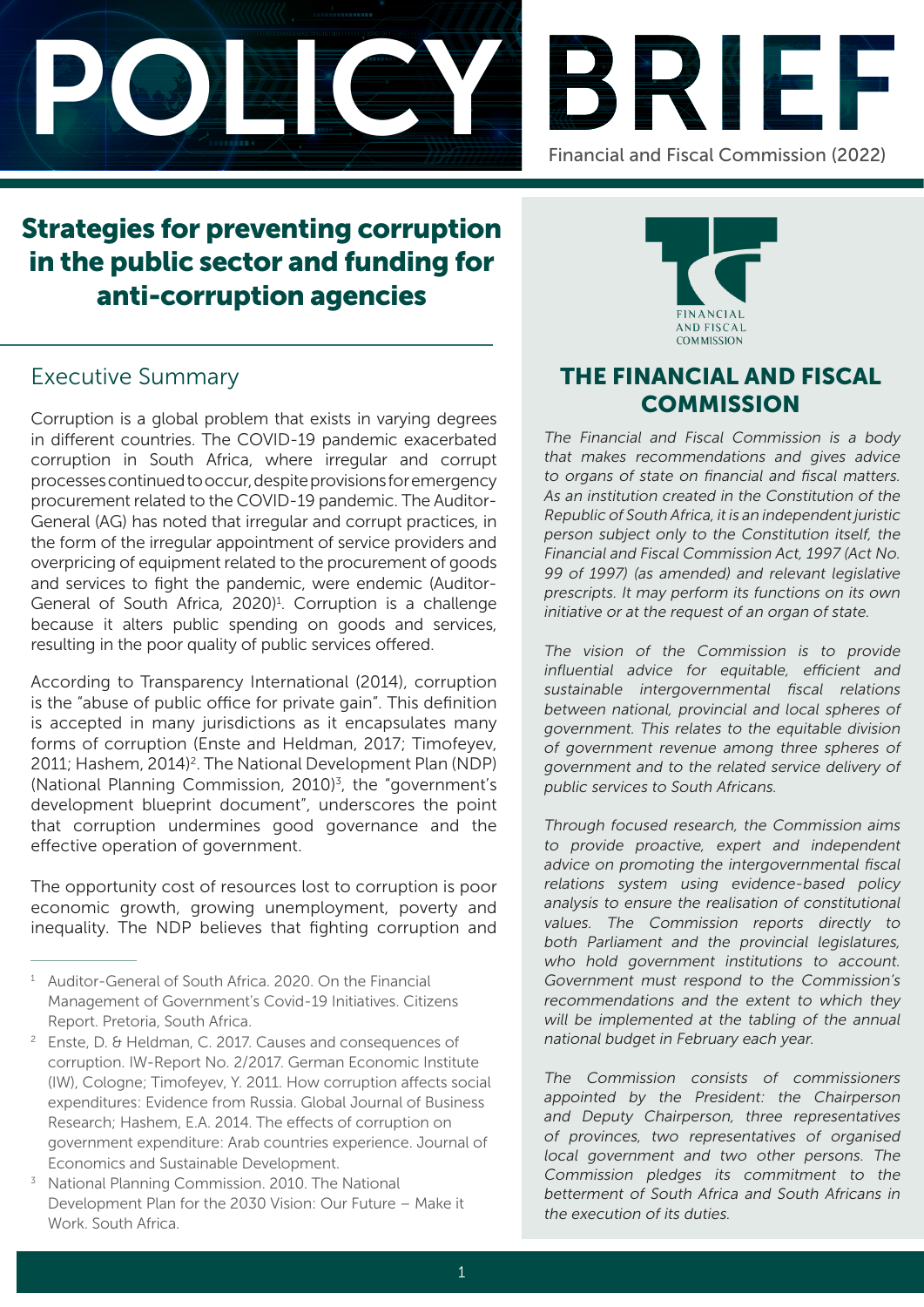



# Strategies for preventing corruption in the public sector and funding for anti-corruption agencies

# Executive Summary

Corruption is a global problem that exists in varying degrees in different countries. The COVID-19 pandemic exacerbated corruption in South Africa, where irregular and corrupt processes continued to occur, despite provisions for emergency procurement related to the COVID-19 pandemic. The Auditor-General (AG) has noted that irregular and corrupt practices, in the form of the irregular appointment of service providers and overpricing of equipment related to the procurement of goods and services to fight the pandemic, were endemic (Auditor-General of South Africa, 2020)<sup>1</sup>. Corruption is a challenge because it alters public spending on goods and services, resulting in the poor quality of public services offered.

According to Transparency International (2014), corruption is the "abuse of public office for private gain". This definition is accepted in many jurisdictions as it encapsulates many forms of corruption (Enste and Heldman, 2017; Timofeyev, 2011; Hashem, 2014)<sup>2</sup>. The National Development Plan (NDP) (National Planning Commission, 2010)<sup>3</sup>, the "government's development blueprint document", underscores the point that corruption undermines good governance and the effective operation of government.

The opportunity cost of resources lost to corruption is poor economic growth, growing unemployment, poverty and inequality. The NDP believes that fighting corruption and



# THE FINANCIAL AND FISCAL **COMMISSION**

The Financial and Fiscal Commission is a body that makes recommendations and gives advice to organs of state on financial and fiscal matters. As an institution created in the Constitution of the Republic of South Africa, it is an independent juristic person subject only to the Constitution itself, the Financial and Fiscal Commission Act, 1997 (Act No. 99 of 1997) (as amended) and relevant legislative prescripts. It may perform its functions on its own initiative or at the request of an organ of state.

The vision of the Commission is to provide influential advice for equitable, efficient and sustainable intergovernmental fiscal relations between national, provincial and local spheres of government. This relates to the equitable division of government revenue among three spheres of government and to the related service delivery of public services to South Africans.

Through focused research, the Commission aims to provide proactive, expert and independent advice on promoting the intergovernmental fiscal relations system using evidence-based policy analysis to ensure the realisation of constitutional values. The Commission reports directly to both Parliament and the provincial legislatures, who hold government institutions to account. Government must respond to the Commission's recommendations and the extent to which they will be implemented at the tabling of the annual national budget in February each year.

The Commission consists of commissioners appointed by the President: the Chairperson and Deputy Chairperson, three representatives of provinces, two representatives of organised local government and two other persons. The Commission pledges its commitment to the betterment of South Africa and South Africans in the execution of its duties.

<sup>&</sup>lt;sup>1</sup> Auditor-General of South Africa, 2020. On the Financial Management of Government's Covid-19 Initiatives. Citizens Report. Pretoria, South Africa.

<sup>2</sup> Enste, D. & Heldman, C. 2017. Causes and consequences of corruption. IW-Report No. 2/2017. German Economic Institute (IW), Cologne; Timofeyev, Y. 2011. How corruption affects social expenditures: Evidence from Russia. Global Journal of Business Research; Hashem, E.A. 2014. The effects of corruption on government expenditure: Arab countries experience. Journal of Economics and Sustainable Development.

<sup>&</sup>lt;sup>3</sup> National Planning Commission. 2010. The National Development Plan for the 2030 Vision: Our Future – Make it Work. South Africa.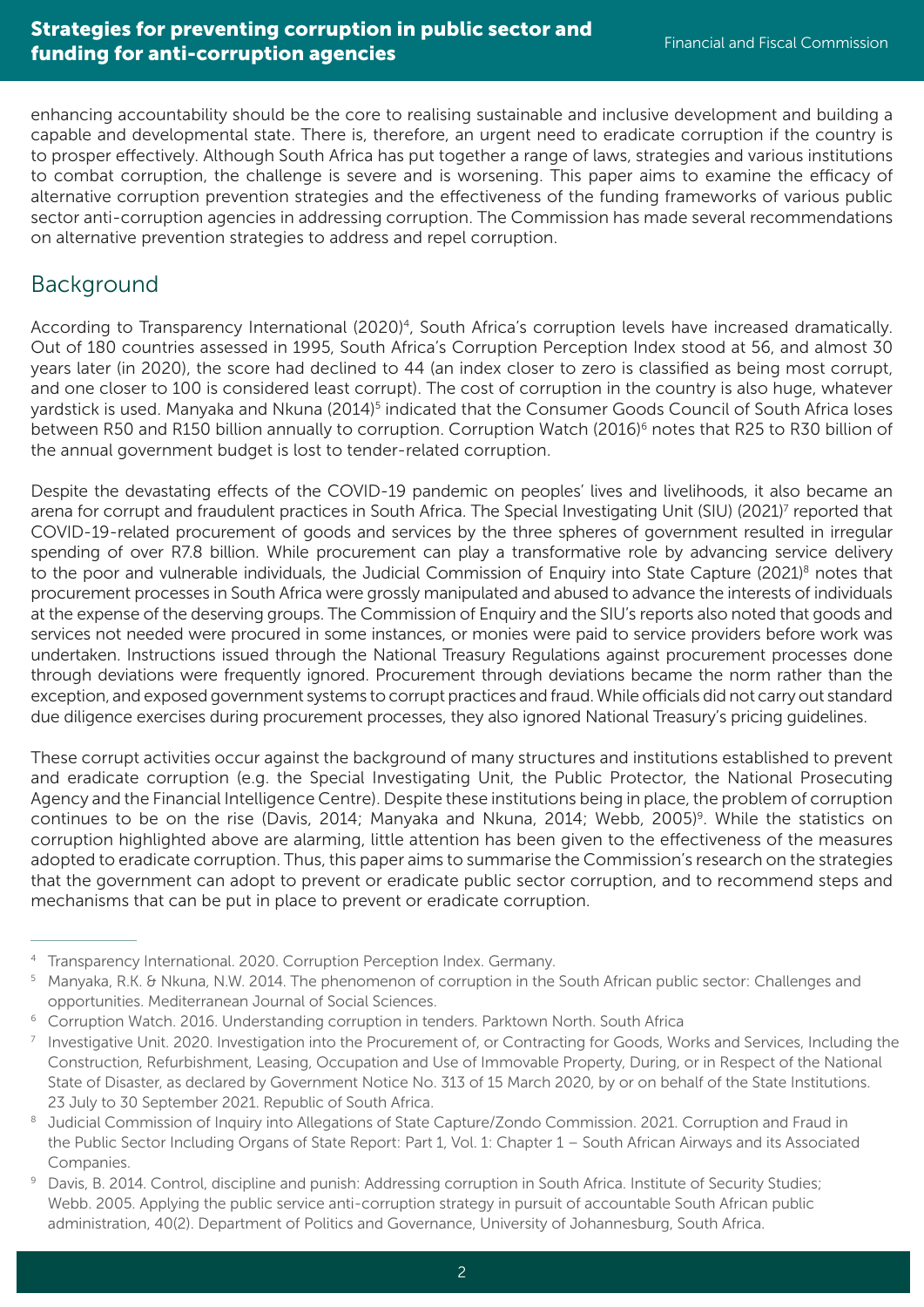enhancing accountability should be the core to realising sustainable and inclusive development and building a capable and developmental state. There is, therefore, an urgent need to eradicate corruption if the country is to prosper effectively. Although South Africa has put together a range of laws, strategies and various institutions to combat corruption, the challenge is severe and is worsening. This paper aims to examine the efficacy of alternative corruption prevention strategies and the effectiveness of the funding frameworks of various public sector anti-corruption agencies in addressing corruption. The Commission has made several recommendations on alternative prevention strategies to address and repel corruption.

### Background

According to Transparency International (2020)<sup>4</sup>, South Africa's corruption levels have increased dramatically. Out of 180 countries assessed in 1995, South Africa's Corruption Perception Index stood at 56, and almost 30 years later (in 2020), the score had declined to 44 (an index closer to zero is classified as being most corrupt, and one closer to 100 is considered least corrupt). The cost of corruption in the country is also huge, whatever yardstick is used. Manyaka and Nkuna (2014)<sup>5</sup> indicated that the Consumer Goods Council of South Africa loses between R50 and R150 billion annually to corruption. Corruption Watch (2016)<sup>6</sup> notes that R25 to R30 billion of the annual government budget is lost to tender-related corruption.

Despite the devastating effects of the COVID-19 pandemic on peoples' lives and livelihoods, it also became an arena for corrupt and fraudulent practices in South Africa. The Special Investigating Unit (SIU) (2021)<sup>7</sup> reported that COVID-19-related procurement of goods and services by the three spheres of government resulted in irregular spending of over R7.8 billion. While procurement can play a transformative role by advancing service delivery to the poor and vulnerable individuals, the Judicial Commission of Enquiry into State Capture (2021)<sup>8</sup> notes that procurement processes in South Africa were grossly manipulated and abused to advance the interests of individuals at the expense of the deserving groups. The Commission of Enquiry and the SIU's reports also noted that goods and services not needed were procured in some instances, or monies were paid to service providers before work was undertaken. Instructions issued through the National Treasury Regulations against procurement processes done through deviations were frequently ignored. Procurement through deviations became the norm rather than the exception, and exposed government systems to corrupt practices and fraud. While officials did not carry out standard due diligence exercises during procurement processes, they also ignored National Treasury's pricing guidelines.

These corrupt activities occur against the background of many structures and institutions established to prevent and eradicate corruption (e.g. the Special Investigating Unit, the Public Protector, the National Prosecuting Agency and the Financial Intelligence Centre). Despite these institutions being in place, the problem of corruption continues to be on the rise (Davis, 2014; Manyaka and Nkuna, 2014; Webb, 2005)<sup>9</sup>. While the statistics on corruption highlighted above are alarming, little attention has been given to the effectiveness of the measures adopted to eradicate corruption. Thus, this paper aims to summarise the Commission's research on the strategies that the government can adopt to prevent or eradicate public sector corruption, and to recommend steps and mechanisms that can be put in place to prevent or eradicate corruption.

<sup>4</sup> Transparency International. 2020. Corruption Perception Index. Germany.

<sup>5</sup> Manyaka, R.K. & Nkuna, N.W. 2014. The phenomenon of corruption in the South African public sector: Challenges and opportunities. Mediterranean Journal of Social Sciences.

<sup>&</sup>lt;sup>6</sup> Corruption Watch. 2016. Understanding corruption in tenders. Parktown North. South Africa

 $<sup>7</sup>$  Investigative Unit. 2020. Investigation into the Procurement of, or Contracting for Goods, Works and Services, Including the</sup> Construction, Refurbishment, Leasing, Occupation and Use of Immovable Property, During, or in Respect of the National State of Disaster, as declared by Government Notice No. 313 of 15 March 2020, by or on behalf of the State Institutions. 23 July to 30 September 2021. Republic of South Africa.

<sup>&</sup>lt;sup>8</sup> Judicial Commission of Inquiry into Allegations of State Capture/Zondo Commission. 2021. Corruption and Fraud in the Public Sector Including Organs of State Report: Part 1, Vol. 1: Chapter 1 – South African Airways and its Associated Companies.

Davis, B. 2014. Control, discipline and punish: Addressing corruption in South Africa. Institute of Security Studies; Webb. 2005. Applying the public service anti-corruption strategy in pursuit of accountable South African public administration, 40(2). Department of Politics and Governance, University of Johannesburg, South Africa.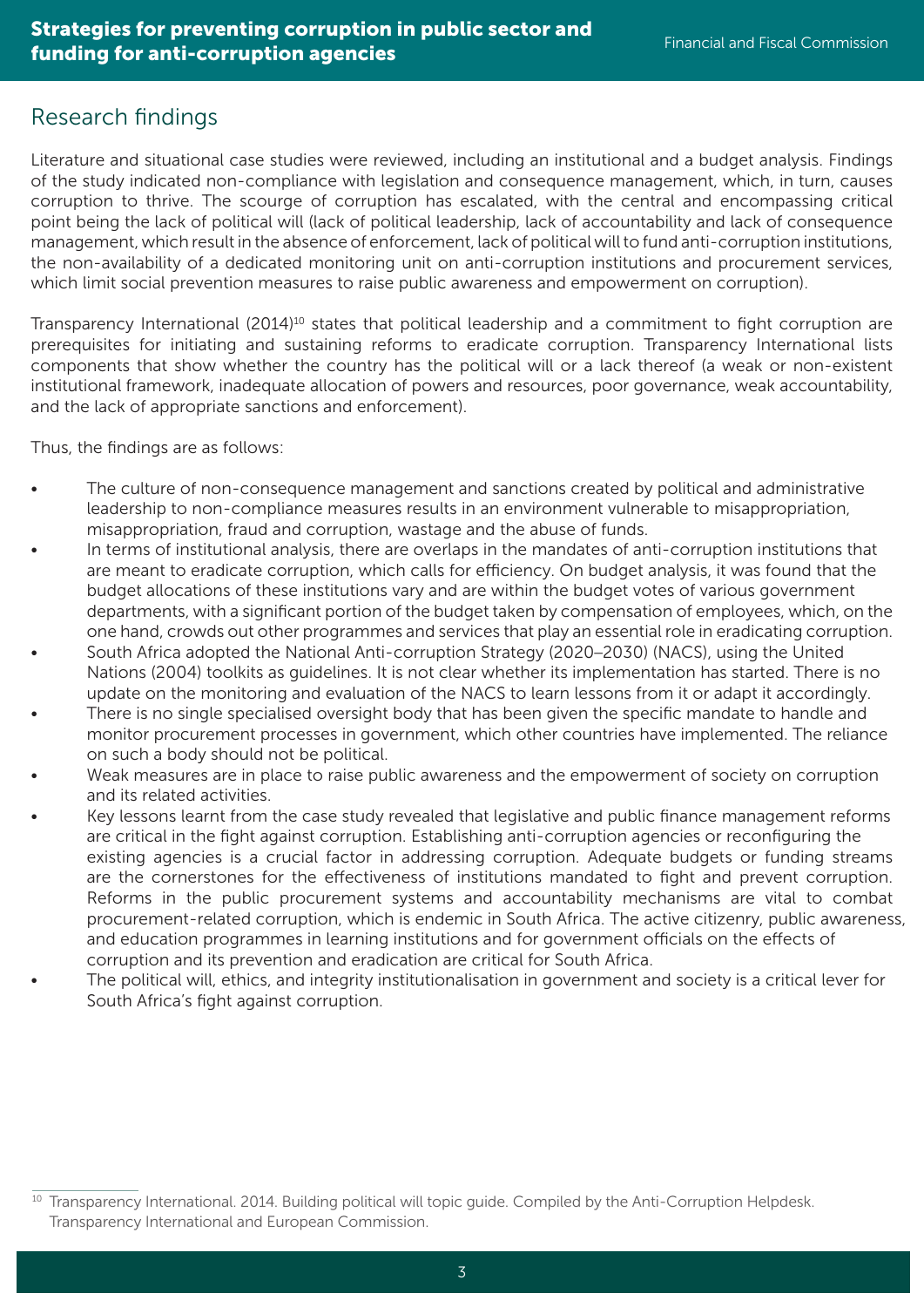### Research findings

Literature and situational case studies were reviewed, including an institutional and a budget analysis. Findings of the study indicated non-compliance with legislation and consequence management, which, in turn, causes corruption to thrive. The scourge of corruption has escalated, with the central and encompassing critical point being the lack of political will (lack of political leadership, lack of accountability and lack of consequence management, which result in the absence of enforcement, lack of political will to fund anti-corruption institutions, the non-availability of a dedicated monitoring unit on anti-corruption institutions and procurement services, which limit social prevention measures to raise public awareness and empowerment on corruption).

Transparency International (2014)<sup>10</sup> states that political leadership and a commitment to fight corruption are prerequisites for initiating and sustaining reforms to eradicate corruption. Transparency International lists components that show whether the country has the political will or a lack thereof (a weak or non-existent institutional framework, inadequate allocation of powers and resources, poor governance, weak accountability, and the lack of appropriate sanctions and enforcement).

Thus, the findings are as follows:

- The culture of non-consequence management and sanctions created by political and administrative leadership to non-compliance measures results in an environment vulnerable to misappropriation, misappropriation, fraud and corruption, wastage and the abuse of funds.
- In terms of institutional analysis, there are overlaps in the mandates of anti-corruption institutions that are meant to eradicate corruption, which calls for efficiency. On budget analysis, it was found that the budget allocations of these institutions vary and are within the budget votes of various government departments, with a significant portion of the budget taken by compensation of employees, which, on the one hand, crowds out other programmes and services that play an essential role in eradicating corruption.
- South Africa adopted the National Anti-corruption Strategy (2020–2030) (NACS), using the United Nations (2004) toolkits as guidelines. It is not clear whether its implementation has started. There is no update on the monitoring and evaluation of the NACS to learn lessons from it or adapt it accordingly.
- There is no single specialised oversight body that has been given the specific mandate to handle and monitor procurement processes in government, which other countries have implemented. The reliance on such a body should not be political.
- Weak measures are in place to raise public awareness and the empowerment of society on corruption and its related activities.
- Key lessons learnt from the case study revealed that legislative and public finance management reforms are critical in the fight against corruption. Establishing anti-corruption agencies or reconfiguring the existing agencies is a crucial factor in addressing corruption. Adequate budgets or funding streams are the cornerstones for the effectiveness of institutions mandated to fight and prevent corruption. Reforms in the public procurement systems and accountability mechanisms are vital to combat procurement-related corruption, which is endemic in South Africa. The active citizenry, public awareness, and education programmes in learning institutions and for government officials on the effects of corruption and its prevention and eradication are critical for South Africa.
- The political will, ethics, and integrity institutionalisation in government and society is a critical lever for South Africa's fight against corruption.

 $10$  Transparency International. 2014. Building political will topic guide. Compiled by the Anti-Corruption Helpdesk. Transparency International and European Commission.